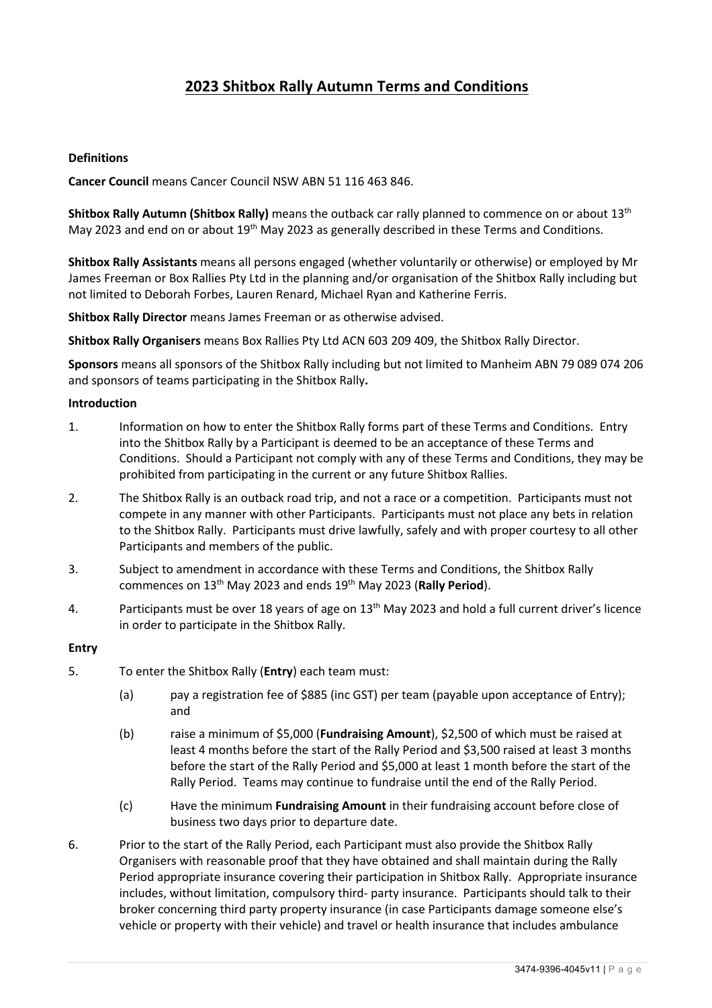# **2023 Shitbox Rally Autumn Terms and Conditions**

### **Definitions**

**Cancer Council** means Cancer Council NSW ABN 51 116 463 846.

**Shitbox Rally Autumn (Shitbox Rally)** means the outback car rally planned to commence on or about 13th May 2023 and end on or about 19<sup>th</sup> May 2023 as generally described in these Terms and Conditions.

**Shitbox Rally Assistants** means all persons engaged (whether voluntarily or otherwise) or employed by Mr James Freeman or Box Rallies Pty Ltd in the planning and/or organisation of the Shitbox Rally including but not limited to Deborah Forbes, Lauren Renard, Michael Ryan and Katherine Ferris.

**Shitbox Rally Director** means James Freeman or as otherwise advised.

**Shitbox Rally Organisers** means Box Rallies Pty Ltd ACN 603 209 409, the Shitbox Rally Director.

**Sponsors** means all sponsors of the Shitbox Rally including but not limited to Manheim ABN 79 089 074 206 and sponsors of teams participating in the Shitbox Rally**.**

#### **Introduction**

- 1. Information on how to enter the Shitbox Rally forms part of these Terms and Conditions. Entry into the Shitbox Rally by a Participant is deemed to be an acceptance of these Terms and Conditions. Should a Participant not comply with any of these Terms and Conditions, they may be prohibited from participating in the current or any future Shitbox Rallies.
- 2. The Shitbox Rally is an outback road trip, and not a race or a competition. Participants must not compete in any manner with other Participants. Participants must not place any bets in relation to the Shitbox Rally. Participants must drive lawfully, safely and with proper courtesy to all other Participants and members of the public.
- 3. Subject to amendment in accordance with these Terms and Conditions, the Shitbox Rally commences on 13th May 2023 and ends 19th May 2023 (**Rally Period**).
- 4. Participants must be over 18 years of age on 13<sup>th</sup> May 2023 and hold a full current driver's licence in order to participate in the Shitbox Rally.

#### **Entry**

- 5. To enter the Shitbox Rally (**Entry**) each team must:
	- (a) pay a registration fee of \$885 (inc GST) per team (payable upon acceptance of Entry); and
	- (b) raise a minimum of \$5,000 (**Fundraising Amount**), \$2,500 of which must be raised at least 4 months before the start of the Rally Period and \$3,500 raised at least 3 months before the start of the Rally Period and \$5,000 at least 1 month before the start of the Rally Period. Teams may continue to fundraise until the end of the Rally Period.
	- (c) Have the minimum **Fundraising Amount** in their fundraising account before close of business two days prior to departure date.
- 6. Prior to the start of the Rally Period, each Participant must also provide the Shitbox Rally Organisers with reasonable proof that they have obtained and shall maintain during the Rally Period appropriate insurance covering their participation in Shitbox Rally. Appropriate insurance includes, without limitation, compulsory third- party insurance. Participants should talk to their broker concerning third party property insurance (in case Participants damage someone else's vehicle or property with their vehicle) and travel or health insurance that includes ambulance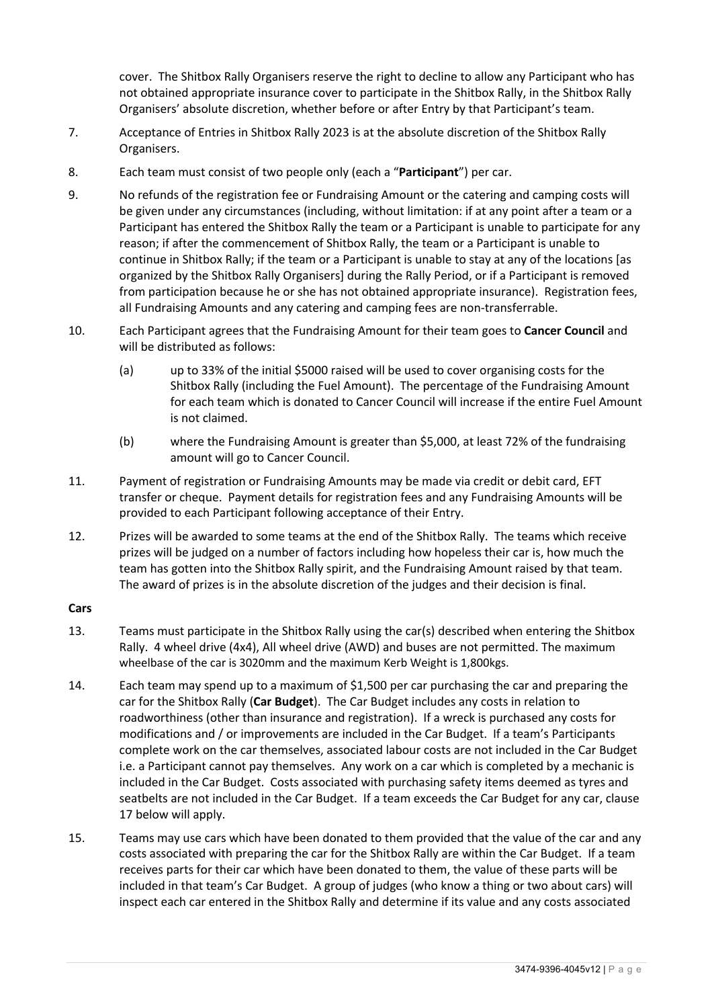cover. The Shitbox Rally Organisers reserve the right to decline to allow any Participant who has not obtained appropriate insurance cover to participate in the Shitbox Rally, in the Shitbox Rally Organisers' absolute discretion, whether before or after Entry by that Participant's team.

- 7. Acceptance of Entries in Shitbox Rally 2023 is at the absolute discretion of the Shitbox Rally Organisers.
- 8. Each team must consist of two people only (each a "**Participant**") per car.
- 9. No refunds of the registration fee or Fundraising Amount or the catering and camping costs will be given under any circumstances (including, without limitation: if at any point after a team or a Participant has entered the Shitbox Rally the team or a Participant is unable to participate for any reason; if after the commencement of Shitbox Rally, the team or a Participant is unable to continue in Shitbox Rally; if the team or a Participant is unable to stay at any of the locations [as organized by the Shitbox Rally Organisers] during the Rally Period, or if a Participant is removed from participation because he or she has not obtained appropriate insurance). Registration fees, all Fundraising Amounts and any catering and camping fees are non-transferrable.
- 10. Each Participant agrees that the Fundraising Amount for their team goes to **Cancer Council** and will be distributed as follows:
	- (a) up to 33% of the initial \$5000 raised will be used to cover organising costs for the Shitbox Rally (including the Fuel Amount). The percentage of the Fundraising Amount for each team which is donated to Cancer Council will increase if the entire Fuel Amount is not claimed.
	- (b) where the Fundraising Amount is greater than \$5,000, at least 72% of the fundraising amount will go to Cancer Council.
- 11. Payment of registration or Fundraising Amounts may be made via credit or debit card, EFT transfer or cheque. Payment details for registration fees and any Fundraising Amounts will be provided to each Participant following acceptance of their Entry.
- 12. Prizes will be awarded to some teams at the end of the Shitbox Rally. The teams which receive prizes will be judged on a number of factors including how hopeless their car is, how much the team has gotten into the Shitbox Rally spirit, and the Fundraising Amount raised by that team. The award of prizes is in the absolute discretion of the judges and their decision is final.

#### **Cars**

- 13. Teams must participate in the Shitbox Rally using the car(s) described when entering the Shitbox Rally. 4 wheel drive (4x4), All wheel drive (AWD) and buses are not permitted. The maximum wheelbase of the car is 3020mm and the maximum Kerb Weight is 1,800kgs.
- 14. Each team may spend up to a maximum of \$1,500 per car purchasing the car and preparing the car for the Shitbox Rally (**Car Budget**). The Car Budget includes any costs in relation to roadworthiness (other than insurance and registration). If a wreck is purchased any costs for modifications and / or improvements are included in the Car Budget. If a team's Participants complete work on the car themselves, associated labour costs are not included in the Car Budget i.e. a Participant cannot pay themselves. Any work on a car which is completed by a mechanic is included in the Car Budget. Costs associated with purchasing safety items deemed as tyres and seatbelts are not included in the Car Budget. If a team exceeds the Car Budget for any car, clause 17 below will apply.
- 15. Teams may use cars which have been donated to them provided that the value of the car and any costs associated with preparing the car for the Shitbox Rally are within the Car Budget. If a team receives parts for their car which have been donated to them, the value of these parts will be included in that team's Car Budget. A group of judges (who know a thing or two about cars) will inspect each car entered in the Shitbox Rally and determine if its value and any costs associated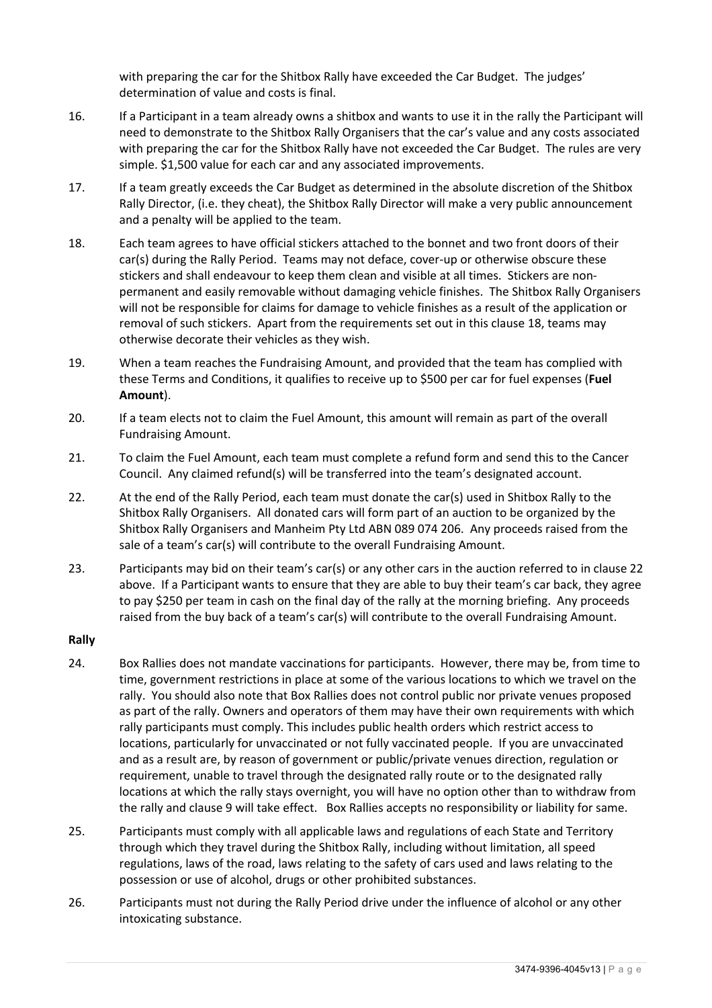with preparing the car for the Shitbox Rally have exceeded the Car Budget. The judges' determination of value and costs is final.

- 16. If a Participant in a team already owns a shitbox and wants to use it in the rally the Participant will need to demonstrate to the Shitbox Rally Organisers that the car's value and any costs associated with preparing the car for the Shitbox Rally have not exceeded the Car Budget. The rules are very simple. \$1,500 value for each car and any associated improvements.
- 17. If a team greatly exceeds the Car Budget as determined in the absolute discretion of the Shitbox Rally Director, (i.e. they cheat), the Shitbox Rally Director will make a very public announcement and a penalty will be applied to the team.
- 18. Each team agrees to have official stickers attached to the bonnet and two front doors of their car(s) during the Rally Period. Teams may not deface, cover-up or otherwise obscure these stickers and shall endeavour to keep them clean and visible at all times. Stickers are nonpermanent and easily removable without damaging vehicle finishes. The Shitbox Rally Organisers will not be responsible for claims for damage to vehicle finishes as a result of the application or removal of such stickers. Apart from the requirements set out in this clause 18, teams may otherwise decorate their vehicles as they wish.
- 19. When a team reaches the Fundraising Amount, and provided that the team has complied with these Terms and Conditions, it qualifies to receive up to \$500 per car for fuel expenses (**Fuel Amount**).
- 20. If a team elects not to claim the Fuel Amount, this amount will remain as part of the overall Fundraising Amount.
- 21. To claim the Fuel Amount, each team must complete a refund form and send this to the Cancer Council. Any claimed refund(s) will be transferred into the team's designated account.
- 22. At the end of the Rally Period, each team must donate the car(s) used in Shitbox Rally to the Shitbox Rally Organisers. All donated cars will form part of an auction to be organized by the Shitbox Rally Organisers and Manheim Pty Ltd ABN 089 074 206. Any proceeds raised from the sale of a team's car(s) will contribute to the overall Fundraising Amount.
- 23. Participants may bid on their team's car(s) or any other cars in the auction referred to in clause 22 above. If a Participant wants to ensure that they are able to buy their team's car back, they agree to pay \$250 per team in cash on the final day of the rally at the morning briefing. Any proceeds raised from the buy back of a team's car(s) will contribute to the overall Fundraising Amount.

#### **Rally**

- 24. Box Rallies does not mandate vaccinations for participants. However, there may be, from time to time, government restrictions in place at some of the various locations to which we travel on the rally. You should also note that Box Rallies does not control public nor private venues proposed as part of the rally. Owners and operators of them may have their own requirements with which rally participants must comply. This includes public health orders which restrict access to locations, particularly for unvaccinated or not fully vaccinated people. If you are unvaccinated and as a result are, by reason of government or public/private venues direction, regulation or requirement, unable to travel through the designated rally route or to the designated rally locations at which the rally stays overnight, you will have no option other than to withdraw from the rally and clause 9 will take effect. Box Rallies accepts no responsibility or liability for same.
- 25. Participants must comply with all applicable laws and regulations of each State and Territory through which they travel during the Shitbox Rally, including without limitation, all speed regulations, laws of the road, laws relating to the safety of cars used and laws relating to the possession or use of alcohol, drugs or other prohibited substances.
- 26. Participants must not during the Rally Period drive under the influence of alcohol or any other intoxicating substance.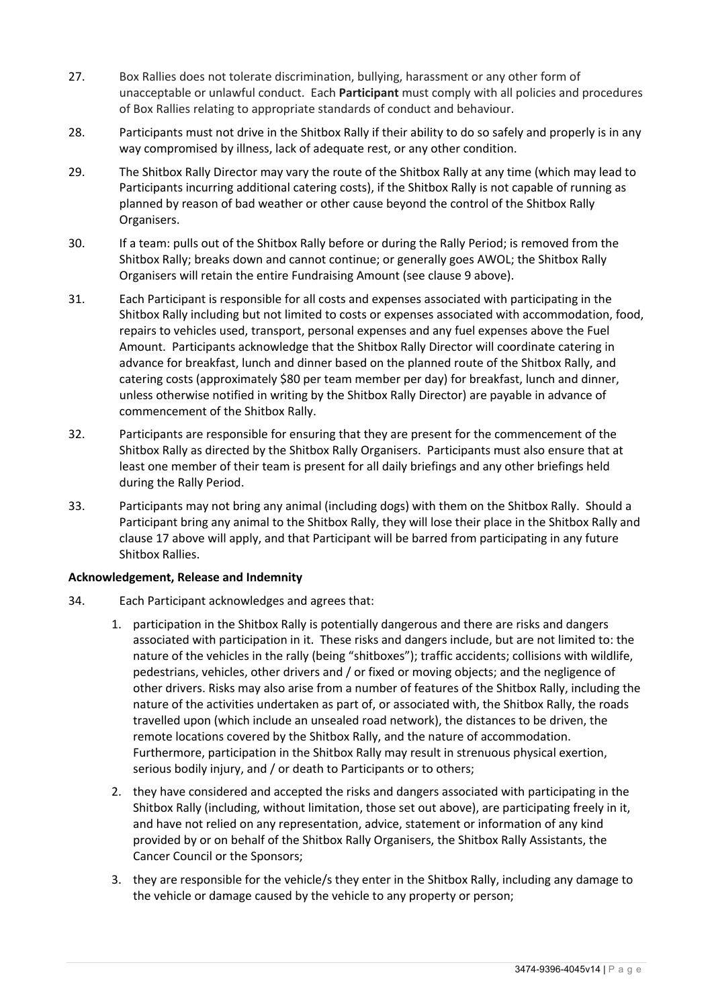- 27. Box Rallies does not tolerate discrimination, bullying, harassment or any other form of unacceptable or unlawful conduct. Each **Participant** must comply with all policies and procedures of Box Rallies relating to appropriate standards of conduct and behaviour.
- 28. Participants must not drive in the Shitbox Rally if their ability to do so safely and properly is in any way compromised by illness, lack of adequate rest, or any other condition.
- 29. The Shitbox Rally Director may vary the route of the Shitbox Rally at any time (which may lead to Participants incurring additional catering costs), if the Shitbox Rally is not capable of running as planned by reason of bad weather or other cause beyond the control of the Shitbox Rally Organisers.
- 30. If a team: pulls out of the Shitbox Rally before or during the Rally Period; is removed from the Shitbox Rally; breaks down and cannot continue; or generally goes AWOL; the Shitbox Rally Organisers will retain the entire Fundraising Amount (see clause 9 above).
- 31. Each Participant is responsible for all costs and expenses associated with participating in the Shitbox Rally including but not limited to costs or expenses associated with accommodation, food, repairs to vehicles used, transport, personal expenses and any fuel expenses above the Fuel Amount. Participants acknowledge that the Shitbox Rally Director will coordinate catering in advance for breakfast, lunch and dinner based on the planned route of the Shitbox Rally, and catering costs (approximately \$80 per team member per day) for breakfast, lunch and dinner, unless otherwise notified in writing by the Shitbox Rally Director) are payable in advance of commencement of the Shitbox Rally.
- 32. Participants are responsible for ensuring that they are present for the commencement of the Shitbox Rally as directed by the Shitbox Rally Organisers. Participants must also ensure that at least one member of their team is present for all daily briefings and any other briefings held during the Rally Period.
- 33. Participants may not bring any animal (including dogs) with them on the Shitbox Rally. Should a Participant bring any animal to the Shitbox Rally, they will lose their place in the Shitbox Rally and clause 17 above will apply, and that Participant will be barred from participating in any future Shitbox Rallies.

#### **Acknowledgement, Release and Indemnity**

- 34. Each Participant acknowledges and agrees that:
	- 1. participation in the Shitbox Rally is potentially dangerous and there are risks and dangers associated with participation in it. These risks and dangers include, but are not limited to: the nature of the vehicles in the rally (being "shitboxes"); traffic accidents; collisions with wildlife, pedestrians, vehicles, other drivers and / or fixed or moving objects; and the negligence of other drivers. Risks may also arise from a number of features of the Shitbox Rally, including the nature of the activities undertaken as part of, or associated with, the Shitbox Rally, the roads travelled upon (which include an unsealed road network), the distances to be driven, the remote locations covered by the Shitbox Rally, and the nature of accommodation. Furthermore, participation in the Shitbox Rally may result in strenuous physical exertion, serious bodily injury, and / or death to Participants or to others;
	- 2. they have considered and accepted the risks and dangers associated with participating in the Shitbox Rally (including, without limitation, those set out above), are participating freely in it, and have not relied on any representation, advice, statement or information of any kind provided by or on behalf of the Shitbox Rally Organisers, the Shitbox Rally Assistants, the Cancer Council or the Sponsors;
	- 3. they are responsible for the vehicle/s they enter in the Shitbox Rally, including any damage to the vehicle or damage caused by the vehicle to any property or person;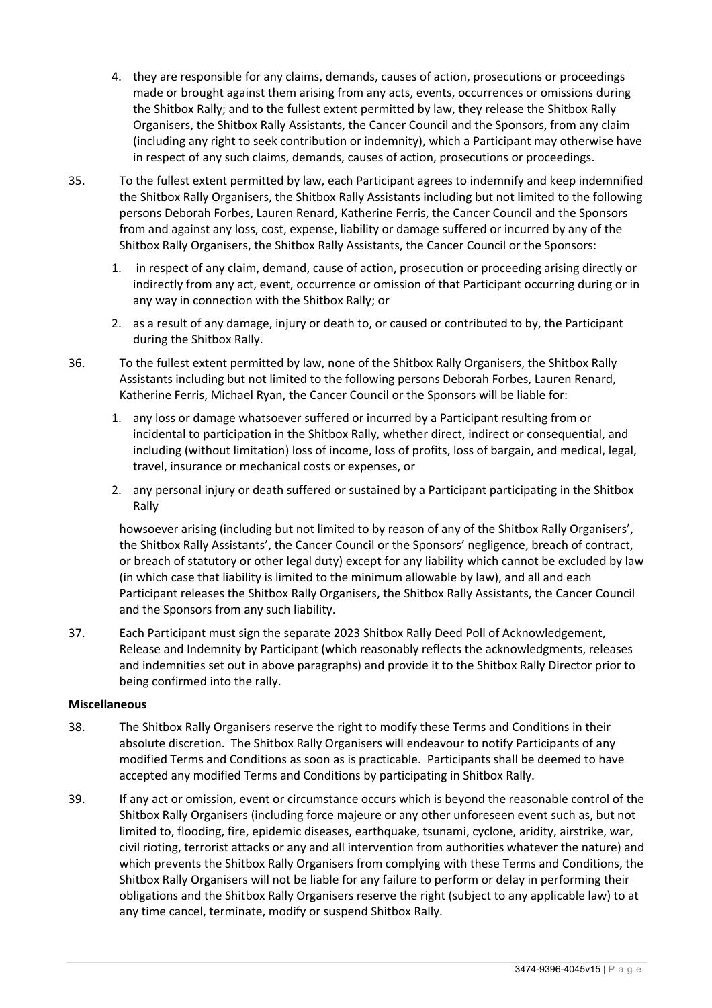- 4. they are responsible for any claims, demands, causes of action, prosecutions or proceedings made or brought against them arising from any acts, events, occurrences or omissions during the Shitbox Rally; and to the fullest extent permitted by law, they release the Shitbox Rally Organisers, the Shitbox Rally Assistants, the Cancer Council and the Sponsors, from any claim (including any right to seek contribution or indemnity), which a Participant may otherwise have in respect of any such claims, demands, causes of action, prosecutions or proceedings.
- 35. To the fullest extent permitted by law, each Participant agrees to indemnify and keep indemnified the Shitbox Rally Organisers, the Shitbox Rally Assistants including but not limited to the following persons Deborah Forbes, Lauren Renard, Katherine Ferris, the Cancer Council and the Sponsors from and against any loss, cost, expense, liability or damage suffered or incurred by any of the Shitbox Rally Organisers, the Shitbox Rally Assistants, the Cancer Council or the Sponsors:
	- 1. in respect of any claim, demand, cause of action, prosecution or proceeding arising directly or indirectly from any act, event, occurrence or omission of that Participant occurring during or in any way in connection with the Shitbox Rally; or
	- 2. as a result of any damage, injury or death to, or caused or contributed to by, the Participant during the Shitbox Rally.
- 36. To the fullest extent permitted by law, none of the Shitbox Rally Organisers, the Shitbox Rally Assistants including but not limited to the following persons Deborah Forbes, Lauren Renard, Katherine Ferris, Michael Ryan, the Cancer Council or the Sponsors will be liable for:
	- 1. any loss or damage whatsoever suffered or incurred by a Participant resulting from or incidental to participation in the Shitbox Rally, whether direct, indirect or consequential, and including (without limitation) loss of income, loss of profits, loss of bargain, and medical, legal, travel, insurance or mechanical costs or expenses, or
	- 2. any personal injury or death suffered or sustained by a Participant participating in the Shitbox Rally

howsoever arising (including but not limited to by reason of any of the Shitbox Rally Organisers', the Shitbox Rally Assistants', the Cancer Council or the Sponsors' negligence, breach of contract, or breach of statutory or other legal duty) except for any liability which cannot be excluded by law (in which case that liability is limited to the minimum allowable by law), and all and each Participant releases the Shitbox Rally Organisers, the Shitbox Rally Assistants, the Cancer Council and the Sponsors from any such liability.

37. Each Participant must sign the separate 2023 Shitbox Rally Deed Poll of Acknowledgement, Release and Indemnity by Participant (which reasonably reflects the acknowledgments, releases and indemnities set out in above paragraphs) and provide it to the Shitbox Rally Director prior to being confirmed into the rally.

## **Miscellaneous**

- 38. The Shitbox Rally Organisers reserve the right to modify these Terms and Conditions in their absolute discretion. The Shitbox Rally Organisers will endeavour to notify Participants of any modified Terms and Conditions as soon as is practicable. Participants shall be deemed to have accepted any modified Terms and Conditions by participating in Shitbox Rally.
- 39. If any act or omission, event or circumstance occurs which is beyond the reasonable control of the Shitbox Rally Organisers (including force majeure or any other unforeseen event such as, but not limited to, flooding, fire, epidemic diseases, earthquake, tsunami, cyclone, aridity, airstrike, war, civil rioting, terrorist attacks or any and all intervention from authorities whatever the nature) and which prevents the Shitbox Rally Organisers from complying with these Terms and Conditions, the Shitbox Rally Organisers will not be liable for any failure to perform or delay in performing their obligations and the Shitbox Rally Organisers reserve the right (subject to any applicable law) to at any time cancel, terminate, modify or suspend Shitbox Rally.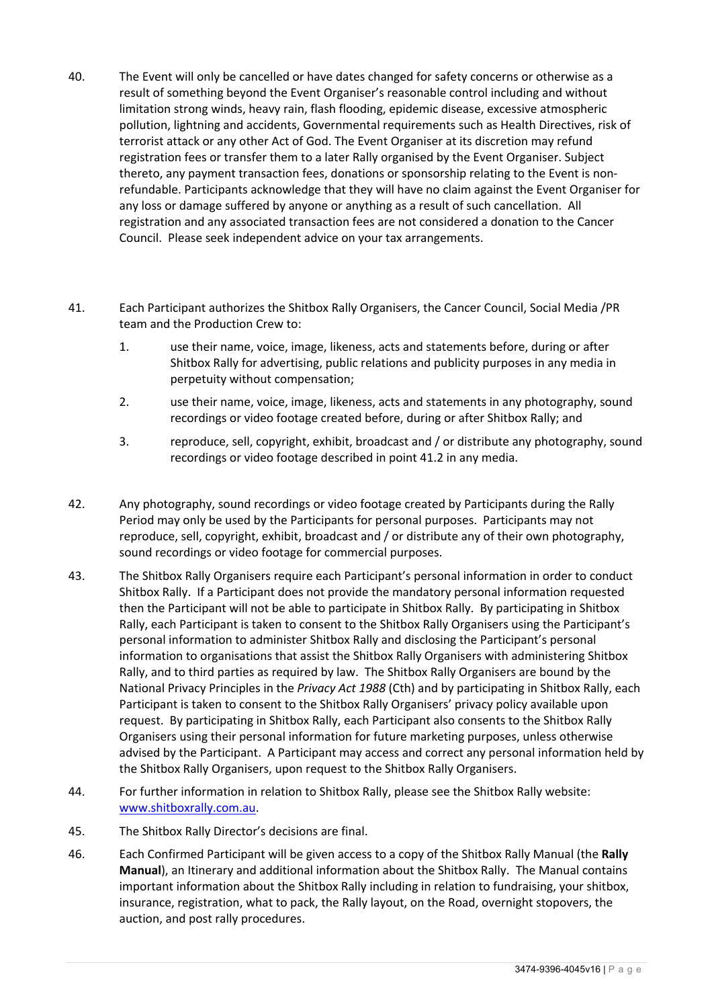- 40. The Event will only be cancelled or have dates changed for safety concerns or otherwise as a result of something beyond the Event Organiser's reasonable control including and without limitation strong winds, heavy rain, flash flooding, epidemic disease, excessive atmospheric pollution, lightning and accidents, Governmental requirements such as Health Directives, risk of terrorist attack or any other Act of God. The Event Organiser at its discretion may refund registration fees or transfer them to a later Rally organised by the Event Organiser. Subject thereto, any payment transaction fees, donations or sponsorship relating to the Event is nonrefundable. Participants acknowledge that they will have no claim against the Event Organiser for any loss or damage suffered by anyone or anything as a result of such cancellation. All registration and any associated transaction fees are not considered a donation to the Cancer Council. Please seek independent advice on your tax arrangements.
- 41. Each Participant authorizes the Shitbox Rally Organisers, the Cancer Council, Social Media /PR team and the Production Crew to:
	- 1. use their name, voice, image, likeness, acts and statements before, during or after Shitbox Rally for advertising, public relations and publicity purposes in any media in perpetuity without compensation;
	- 2. use their name, voice, image, likeness, acts and statements in any photography, sound recordings or video footage created before, during or after Shitbox Rally; and
	- 3. reproduce, sell, copyright, exhibit, broadcast and / or distribute any photography, sound recordings or video footage described in point 41.2 in any media.
- 42. Any photography, sound recordings or video footage created by Participants during the Rally Period may only be used by the Participants for personal purposes. Participants may not reproduce, sell, copyright, exhibit, broadcast and / or distribute any of their own photography, sound recordings or video footage for commercial purposes.
- 43. The Shitbox Rally Organisers require each Participant's personal information in order to conduct Shitbox Rally. If a Participant does not provide the mandatory personal information requested then the Participant will not be able to participate in Shitbox Rally. By participating in Shitbox Rally, each Participant is taken to consent to the Shitbox Rally Organisers using the Participant's personal information to administer Shitbox Rally and disclosing the Participant's personal information to organisations that assist the Shitbox Rally Organisers with administering Shitbox Rally, and to third parties as required by law. The Shitbox Rally Organisers are bound by the National Privacy Principles in the *Privacy Act 1988* (Cth) and by participating in Shitbox Rally, each Participant is taken to consent to the Shitbox Rally Organisers' privacy policy available upon request. By participating in Shitbox Rally, each Participant also consents to the Shitbox Rally Organisers using their personal information for future marketing purposes, unless otherwise advised by the Participant. A Participant may access and correct any personal information held by the Shitbox Rally Organisers, upon request to the Shitbox Rally Organisers.
- 44. For further information in relation to Shitbox Rally, please see the Shitbox Rally website: www.shitboxrally.com.au.
- 45. The Shitbox Rally Director's decisions are final.
- 46. Each Confirmed Participant will be given access to a copy of the Shitbox Rally Manual (the **Rally Manual**), an Itinerary and additional information about the Shitbox Rally. The Manual contains important information about the Shitbox Rally including in relation to fundraising, your shitbox, insurance, registration, what to pack, the Rally layout, on the Road, overnight stopovers, the auction, and post rally procedures.